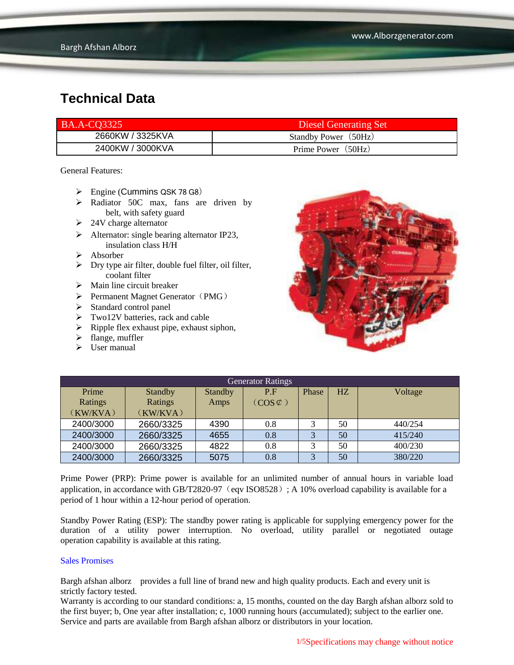| <b>BA.A-CO3325</b> | Diesel Generating Set |
|--------------------|-----------------------|
| 2660KW / 3325KVA   | Standby Power (50Hz)  |
| 2400KW / 3000KVA   | Prime Power (50Hz)    |

General Features:

- $\triangleright$  Engine (Cummins QSK 78 G8)
- > Radiator 50C max, fans are driven by belt, with safety guard
- $\geq 24V$  charge alternator
- $\triangleright$  Alternator: single bearing alternator IP23, insulation class H/H
- $\triangleright$  Absorber
- $\triangleright$  Dry type air filter, double fuel filter, oil filter, coolant filter
- $\triangleright$  Main line circuit breaker
- $\triangleright$  Permanent Magnet Generator (PMG)
- $\triangleright$  Standard control panel
- $\triangleright$  Two12V batteries, rack and cable
- $\triangleright$  Ripple flex exhaust pipe, exhaust siphon,
- $\blacktriangleright$  flange, muffler
- $\triangleright$  User manual



| <b>Generator Ratings</b> |                |                |                     |       |    |         |
|--------------------------|----------------|----------------|---------------------|-------|----|---------|
| Prime                    | <b>Standby</b> | <b>Standby</b> | P.F                 | Phase | HZ | Voltage |
| Ratings                  | Ratings        | Amps           | $(COS \mathcal{L})$ |       |    |         |
| (KW/KVA)                 | (KW/KVA)       |                |                     |       |    |         |
| 2400/3000                | 2660/3325      | 4390           | 0.8                 |       | 50 | 440/254 |
| 2400/3000                | 2660/3325      | 4655           | 0.8                 | 3     | 50 | 415/240 |
| 2400/3000                | 2660/3325      | 4822           | 0.8                 | 3     | 50 | 400/230 |
| 2400/3000                | 2660/3325      | 5075           | 0.8                 | 3     | 50 | 380/220 |

Prime Power (PRP): Prime power is available for an unlimited number of annual hours in variable load application, in accordance with GB/T2820-97 (eqv ISO8528); A 10% overload capability is available for a period of 1 hour within a 12-hour period of operation.

Standby Power Rating (ESP): The standby power rating is applicable for supplying emergency power for the duration of a utility power interruption. No overload, utility parallel or negotiated outage operation capability is available at this rating.

#### Sales Promises

Bargh afshan alborz provides a full line of brand new and high quality products. Each and every unit is strictly factory tested.

Warranty is according to our standard conditions: a, 15 months, counted on the day Bargh afshan alborz sold to the first buyer; b, One year after installation; c, 1000 running hours (accumulated); subject to the earlier one. Service and parts are available from Bargh afshan alborz or distributors in your location.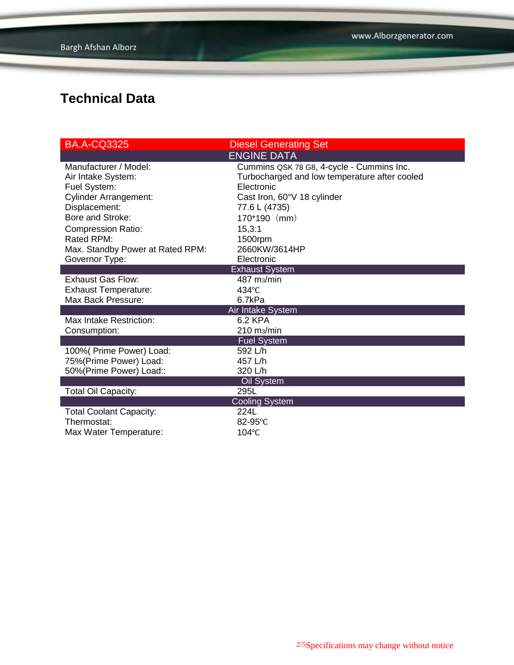| <b>BA.A-CQ3325</b>               | <b>Diesel Generating Set</b>                  |
|----------------------------------|-----------------------------------------------|
|                                  | <b>ENGINE DATA</b>                            |
| Manufacturer / Model:            | Cummins QSK 78 G8, 4-cycle - Cummins Inc.     |
| Air Intake System:               | Turbocharged and low temperature after cooled |
| Fuel System:                     | Electronic                                    |
| <b>Cylinder Arrangement:</b>     | Cast Iron, 60°V 18 cylinder                   |
| Displacement:                    | 77.6 L (4735)                                 |
| Bore and Stroke:                 | 170*190 (mm)                                  |
| <b>Compression Ratio:</b>        | 15,3:1                                        |
| Rated RPM:                       | 1500rpm                                       |
| Max. Standby Power at Rated RPM: | 2660KW/3614HP                                 |
| Governor Type:                   | Electronic                                    |
|                                  | <b>Exhaust System</b>                         |
| <b>Exhaust Gas Flow:</b>         | 487 m <sub>3</sub> /min                       |
| <b>Exhaust Temperature:</b>      | $434^{\circ}$ C                               |
| Max Back Pressure:               | 6.7kPa                                        |
|                                  | Air Intake System                             |
| Max Intake Restriction:          | 6.2 KPA                                       |
| Consumption:                     | 210 m <sub>3</sub> /min                       |
|                                  | <b>Fuel System</b>                            |
| 100% (Prime Power) Load:         | 592 L/h                                       |
| 75%(Prime Power) Load:           | 457 L/h                                       |
| 50%(Prime Power) Load::          | 320 L/h                                       |
|                                  | Oil System                                    |
| <b>Total Oil Capacity:</b>       | 295L                                          |
|                                  | <b>Cooling System</b>                         |
| <b>Total Coolant Capacity:</b>   | 224L                                          |
| Thermostat:                      | 82-95°C                                       |
| Max Water Temperature:           | $104$ °C                                      |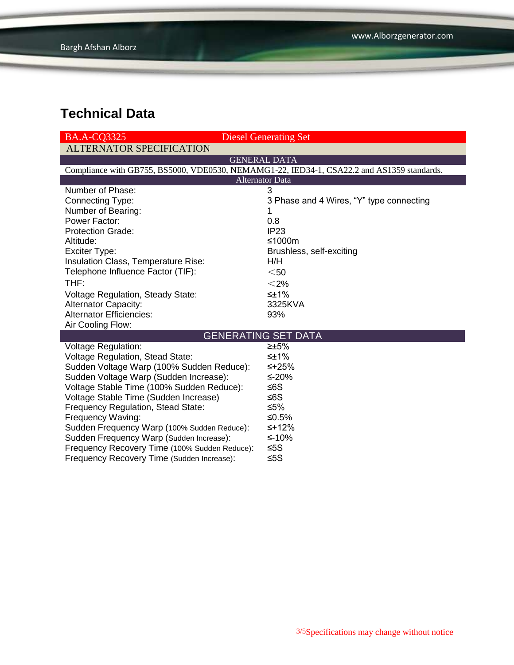| <b>BA.A-CO3325</b>                                                                         | <b>Diesel Generating Set</b>             |
|--------------------------------------------------------------------------------------------|------------------------------------------|
| <b>ALTERNATOR SPECIFICATION</b>                                                            |                                          |
|                                                                                            | <b>GENERAL DATA</b>                      |
| Compliance with GB755, BS5000, VDE0530, NEMAMG1-22, IED34-1, CSA22.2 and AS1359 standards. |                                          |
|                                                                                            | <b>Alternator Data</b>                   |
| Number of Phase:                                                                           | 3                                        |
| <b>Connecting Type:</b>                                                                    | 3 Phase and 4 Wires, "Y" type connecting |
| Number of Bearing:                                                                         |                                          |
| Power Factor:                                                                              | 0.8                                      |
| <b>Protection Grade:</b>                                                                   | IP23                                     |
| Altitude:                                                                                  | ≤1000m                                   |
| Exciter Type:                                                                              | Brushless, self-exciting                 |
| Insulation Class, Temperature Rise:                                                        | H/H                                      |
| Telephone Influence Factor (TIF):                                                          | $50$                                     |
| THF:                                                                                       | $<$ 2%                                   |
| <b>Voltage Regulation, Steady State:</b>                                                   | $\leq \pm 1\%$                           |
| <b>Alternator Capacity:</b>                                                                | 3325KVA                                  |
| <b>Alternator Efficiencies:</b>                                                            | 93%                                      |
| Air Cooling Flow:                                                                          |                                          |
|                                                                                            | <b>GENERATING SET DATA</b>               |
| <b>Voltage Regulation:</b>                                                                 | ≥±5%                                     |
| Voltage Regulation, Stead State:                                                           | ≤±1%                                     |
| Sudden Voltage Warp (100% Sudden Reduce):                                                  | ≤+25%                                    |
| Sudden Voltage Warp (Sudden Increase):                                                     | ≤-20%                                    |
| Voltage Stable Time (100% Sudden Reduce):                                                  | ≤6S                                      |
| Voltage Stable Time (Sudden Increase)                                                      | ≤6S                                      |
| Frequency Regulation, Stead State:                                                         | ≤5%                                      |
| Frequency Waving:                                                                          | ≤0.5%                                    |
| Sudden Frequency Warp (100% Sudden Reduce):                                                | $≤+12%$                                  |
| Sudden Frequency Warp (Sudden Increase):                                                   | ≤-10%                                    |
| Frequency Recovery Time (100% Sudden Reduce):                                              | ≤5S                                      |
| Frequency Recovery Time (Sudden Increase):                                                 | ≤5 $S$                                   |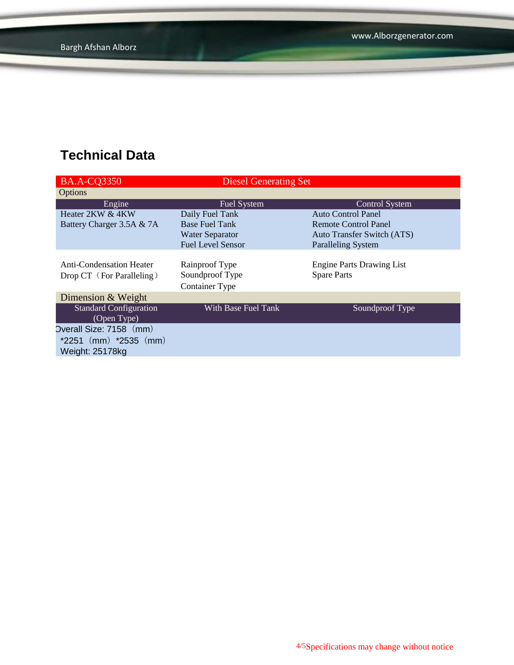| <b>BA.A-CQ3350</b>              | <b>Diesel Generating Set</b> |                                   |
|---------------------------------|------------------------------|-----------------------------------|
| Options                         |                              |                                   |
| Engine                          | Fuel System                  | <b>Control System</b>             |
| Heater 2KW & 4KW                | Daily Fuel Tank              | <b>Auto Control Panel</b>         |
| Battery Charger 3.5A & 7A       | <b>Base Fuel Tank</b>        | Remote Control Panel              |
|                                 | <b>Water Separator</b>       | <b>Auto Transfer Switch (ATS)</b> |
|                                 | <b>Fuel Level Sensor</b>     | <b>Paralleling System</b>         |
|                                 |                              |                                   |
| <b>Anti-Condensation Heater</b> | Rainproof Type               | <b>Engine Parts Drawing List</b>  |
| Drop CT (For Paralleling)       | Soundproof Type              | <b>Spare Parts</b>                |
|                                 | <b>Container Type</b>        |                                   |
| Dimension & Weight              |                              |                                   |
| <b>Standard Configuration</b>   | With Base Fuel Tank          | Soundproof Type                   |
| (Open Type)                     |                              |                                   |
| Overall Size: 7158 (mm)         |                              |                                   |
| $*2251$ (mm) $*2535$ (mm)       |                              |                                   |
| Weight: 25178kg                 |                              |                                   |
|                                 |                              |                                   |